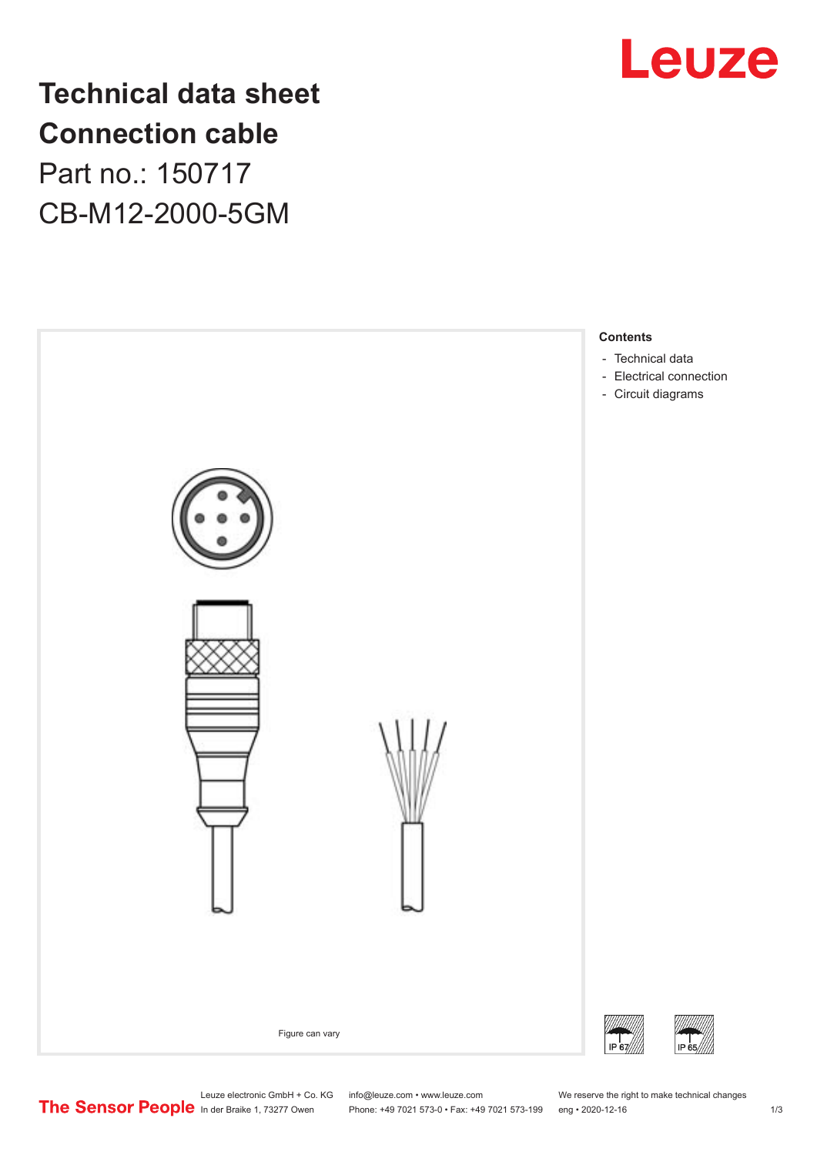

## **Technical data sheet Connection cable**

Part no.: 150717 CB-M12-2000-5GM



Phone: +49 7021 573-0 • Fax: +49 7021 573-199 eng • 2020-12-16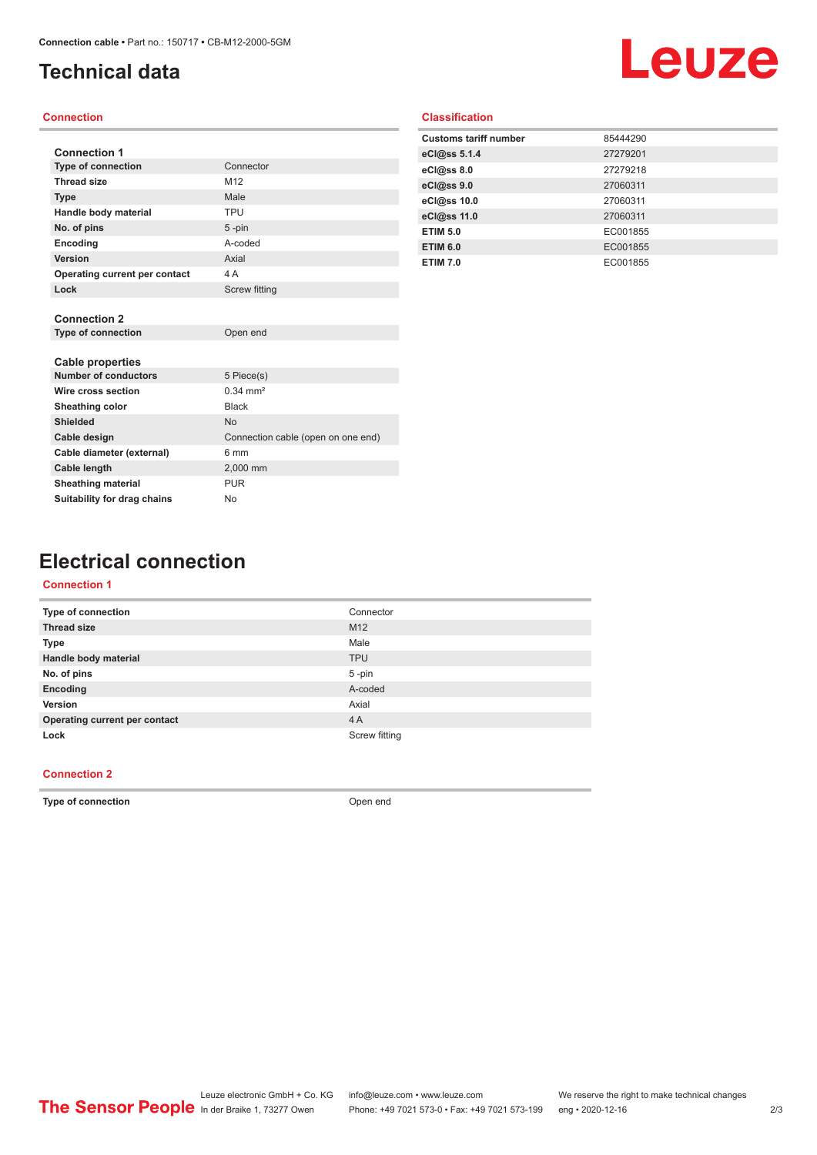## <span id="page-1-0"></span>**Technical data**

## Leuze

#### **Connection**

| <b>Connection 1</b>           |                                    |
|-------------------------------|------------------------------------|
| <b>Type of connection</b>     | Connector                          |
| <b>Thread size</b>            | M12                                |
| <b>Type</b>                   | Male                               |
| Handle body material          | <b>TPU</b>                         |
| No. of pins                   | $5 - pin$                          |
| Encoding                      | A-coded                            |
| Version                       | Axial                              |
| Operating current per contact | 4 A                                |
| Lock                          | <b>Screw fitting</b>               |
|                               |                                    |
| <b>Connection 2</b>           |                                    |
| <b>Type of connection</b>     | Open end                           |
| <b>Cable properties</b>       |                                    |
| <b>Number of conductors</b>   | 5 Piece(s)                         |
| Wire cross section            | $0.34 \, \text{mm}^2$              |
| Sheathing color               | <b>Black</b>                       |
| <b>Shielded</b>               | <b>No</b>                          |
| Cable design                  | Connection cable (open on one end) |
| Cable diameter (external)     | 6 mm                               |
| <b>Cable length</b>           | 2,000 mm                           |
| <b>Sheathing material</b>     | <b>PUR</b>                         |
| Suitability for drag chains   | No                                 |

#### **Classification**

| 85444290 |
|----------|
| 27279201 |
| 27279218 |
| 27060311 |
| 27060311 |
| 27060311 |
| EC001855 |
| EC001855 |
| EC001855 |
|          |

### **Electrical connection**

#### **Connection 1**

| Type of connection            | Connector       |
|-------------------------------|-----------------|
| <b>Thread size</b>            | M <sub>12</sub> |
| <b>Type</b>                   | Male            |
| Handle body material          | <b>TPU</b>      |
| No. of pins                   | $5$ -pin        |
| Encoding                      | A-coded         |
| Version                       | Axial           |
| Operating current per contact | 4A              |
| Lock                          | Screw fitting   |
|                               |                 |

#### **Connection 2**

**Type of connection Open end**